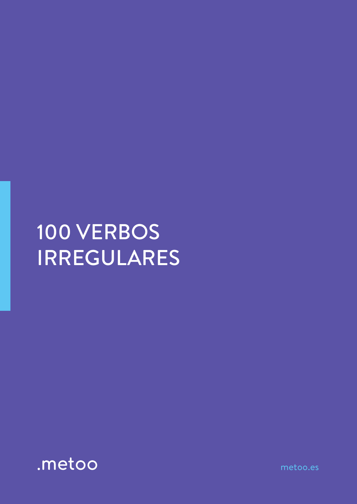## 100 VERBOS IRREGULARES



metoo.es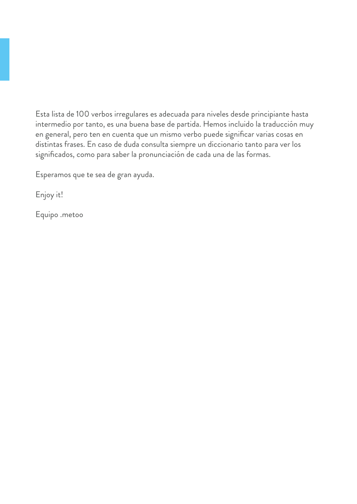Esta lista de 100 verbos irregulares es adecuada para niveles desde principiante hasta intermedio por tanto, es una buena base de partida. Hemos incluido la traducción muy en general, pero ten en cuenta que un mismo verbo puede significar varias cosas en distintas frases. En caso de duda consulta siempre un diccionario tanto para ver los significados, como para saber la pronunciación de cada una de las formas.

Esperamos que te sea de gran ayuda.

Enjoy it!

Equipo .metoo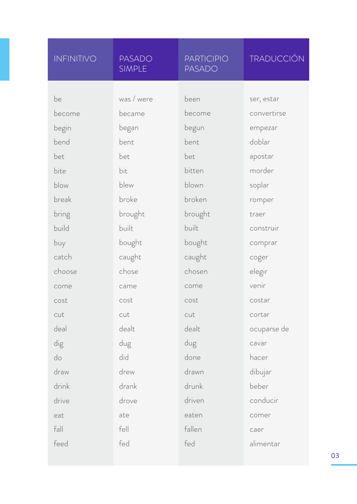| <b>INFINITIVO</b> | <b>PASADO</b><br><b>SIMPLE</b> | <b>PARTICIPIO</b><br><b>PASADO</b> | <b>TRADUCCIÓN</b>         |
|-------------------|--------------------------------|------------------------------------|---------------------------|
| be                | was / were                     | been                               |                           |
|                   |                                | become                             | ser, estar<br>convertirse |
| become            | became                         |                                    |                           |
| begin             | began                          | begun                              | empezar                   |
| bend              | bent                           | bent                               | doblar                    |
| bet               | bet                            | bet                                | apostar                   |
| bite              | bit                            | bitten                             | morder                    |
| blow              | blew                           | blown                              | soplar                    |
| break             | broke                          | broken                             | romper                    |
| bring             | brought                        | brought                            | traer                     |
| build             | built                          | built                              | construir                 |
| buy               | bought                         | bought                             | comprar                   |
| catch             | caught                         | caught                             | coger                     |
| choose            | chose                          | chosen                             | elegir                    |
| come              | came                           | come                               | venir                     |
| cost              | cost                           | cost                               | costar                    |
| cut               | cut                            | cut                                | cortar                    |
| deal              | dealt                          | dealt                              | ocuparse de               |
| dig               | dug                            | dug                                | cavar                     |
| do                | did                            | done                               | hacer                     |
| draw              | drew                           | drawn                              | dibujar                   |
| drink             | drank                          | drunk                              | beber                     |
| drive             | drove                          | driven                             | conducir                  |
| eat               | ate                            | eaten                              | comer                     |
| fall              | fell                           | fallen                             | caer                      |
| feed              | fed                            | fed                                | alimentar                 |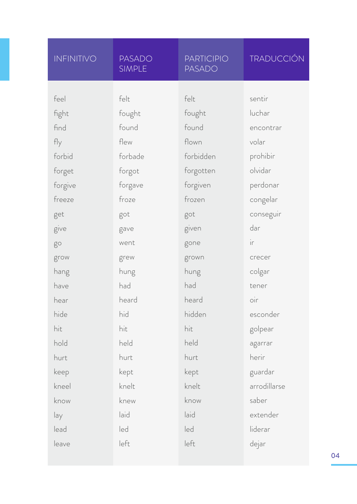| INFINITIVO | <b>PASADO</b><br><b>SIMPLE</b> | <b>PARTICIPIO</b><br><b>PASADO</b> | <b>TRADUCCIÓN</b> |
|------------|--------------------------------|------------------------------------|-------------------|
|            |                                |                                    |                   |
| feel       | felt                           | felt                               | sentir            |
| fight      | fought                         | fought                             | luchar            |
| find       | found                          | found                              | encontrar         |
| fly        | flew                           | flown                              | volar             |
| forbid     | forbade                        | forbidden                          | prohibir          |
| forget     | forgot                         | forgotten                          | olvidar           |
| forgive    | forgave                        | forgiven                           | perdonar          |
| freeze     | froze                          | frozen                             | congelar          |
| get        | got                            | got                                | conseguir         |
| give       | gave                           | given                              | dar               |
| go         | went                           | gone                               | ir                |
| grow       | grew                           | grown                              | crecer            |
| hang       | hung                           | hung                               | colgar            |
| have       | had                            | had                                | tener             |
| hear       | heard                          | heard                              | $\overline{O}$    |
| hide       | hid                            | hidden                             | esconder          |
| hit        | hit                            | hit                                | golpear           |
| hold       | held                           | held                               | agarrar           |
| hurt       | hurt                           | hurt                               | herir             |
| keep       | kept                           | kept                               | guardar           |
| kneel      | knelt                          | knelt                              | arrodillarse      |
| know       | knew                           | know                               | saber             |
| lay        | laid                           | laid                               | extender          |
| lead       | led                            | led                                | liderar           |
| leave      | left                           | left                               | dejar             |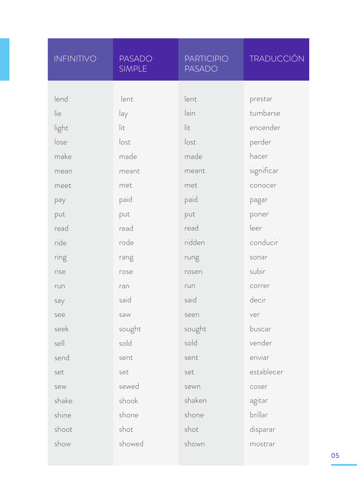| INFINITIVO | <b>PASADO</b><br><b>SIMPLE</b> | <b>PARTICIPIO</b><br><b>PASADO</b> | <b>TRADUCCIÓN</b> |
|------------|--------------------------------|------------------------------------|-------------------|
|            |                                |                                    |                   |
| lend       | lent                           | lent                               | prestar           |
| lie        | lay                            | lain                               | tumbarse          |
| light      | lit                            | lit                                | encender          |
| lose       | lost                           | lost                               | perder            |
| make       | made                           | made                               | hacer             |
| mean       | meant                          | meant                              | significar        |
| meet       | met                            | met                                | conocer           |
| pay        | paid                           | paid                               | pagar             |
| put        | put                            | put                                | poner             |
| read       | read                           | read                               | leer              |
| ride       | rode                           | ridden                             | conducir          |
| ring       | rang                           | rung                               | sonar             |
| rise       | rose                           | rosen                              | subir             |
| run        | ran                            | run                                | correr            |
| say        | said                           | said                               | decir             |
| see        | saw                            | seen                               | ver               |
| seek       | sought                         | sought                             | buscar            |
| sell       | sold                           | sold                               | vender            |
| send       | sent                           | sent                               | enviar            |
| set        | set                            | set                                | establecer        |
| sew        | sewed                          | sewn                               | coser             |
| shake      | shook                          | shaken                             | agitar            |
| shine      | shone                          | shone                              | brillar           |
| shoot      | shot                           | shot                               | disparar          |
| show       | showed                         | shown                              | mostrar           |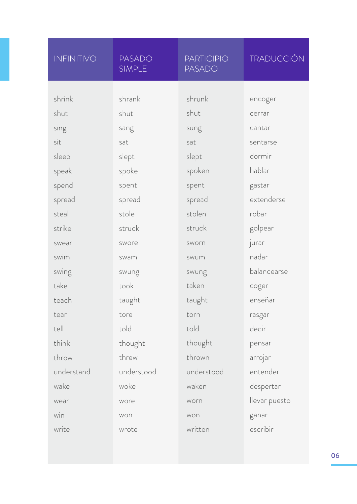| INFINITIVO | <b>PASADO</b><br><b>SIMPLE</b> | <b>PARTICIPIO</b><br><b>PASADO</b> | <b>TRADUCCIÓN</b> |
|------------|--------------------------------|------------------------------------|-------------------|
|            |                                |                                    |                   |
| shrink     | shrank                         | shrunk                             | encoger           |
| shut       | shut                           | shut                               | cerrar            |
| sing       | sang                           | sung                               | cantar            |
| sit        | sat                            | sat                                | sentarse          |
| sleep      | slept                          | slept                              | dormir            |
| speak      | spoke                          | spoken                             | hablar            |
| spend      | spent                          | spent                              | gastar            |
| spread     | spread                         | spread                             | extenderse        |
| steal      | stole                          | stolen                             | robar             |
| strike     | struck                         | struck                             | golpear           |
| swear      | swore                          | sworn                              | jurar             |
| swim       | swam                           | swum                               | nadar             |
| swing      | swung                          | swung                              | balancearse       |
| take       | took                           | taken                              | coger             |
| teach      | taught                         | taught                             | enseñar           |
| tear       | tore                           | torn                               | rasgar            |
| tell       | told                           | told                               | decir             |
| think      | thought                        | thought                            | pensar            |
| throw      | threw                          | thrown                             | arrojar           |
| understand | understood                     | understood                         | entender          |
| wake       | woke                           | waken                              | despertar         |
| wear       | wore                           | worn                               | llevar puesto     |
| win        | won                            | won                                | ganar             |
| write      | wrote                          | written                            | escribir          |
|            |                                |                                    |                   |